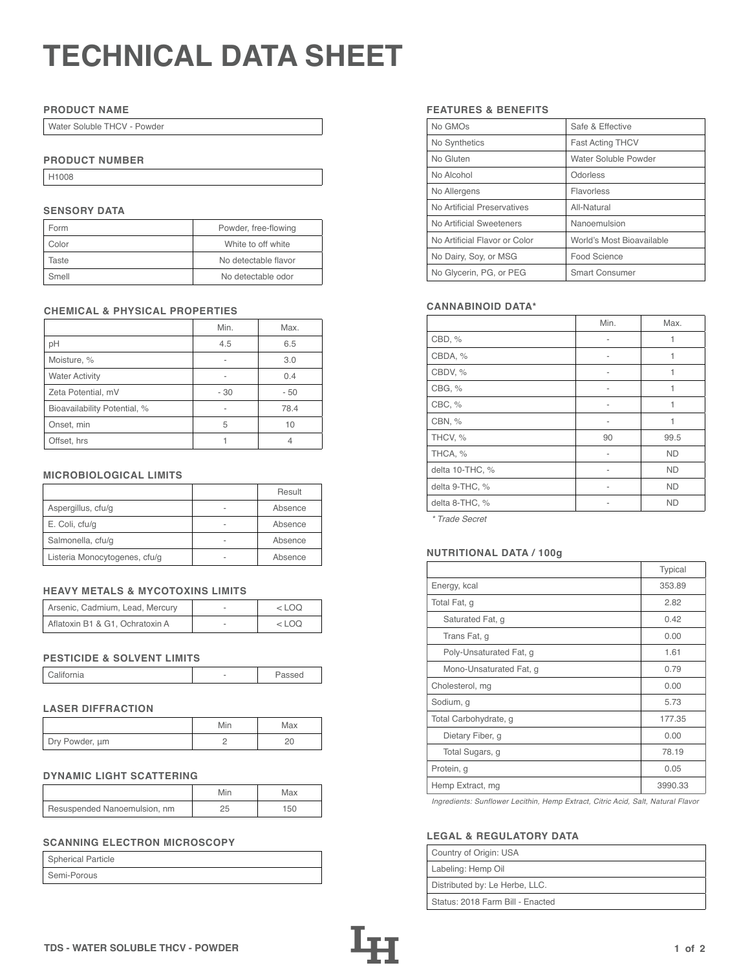# **TECHNICAL DATA SHEET**

## **PRODUCT NAME**

Water Soluble THCV - Powder

## **PRODUCT NUMBER**

H1008

## **SENSORY DATA**

| Form  | Powder, free-flowing |
|-------|----------------------|
| Color | White to off white   |
| Taste | No detectable flavor |
| Smell | No detectable odor   |

## **CHEMICAL & PHYSICAL PROPERTIES**

|                              | Min. | Max. |
|------------------------------|------|------|
| рH                           | 4.5  | 6.5  |
| Moisture, %                  |      | 3.0  |
| <b>Water Activity</b>        | ۰    | 0.4  |
| Zeta Potential, mV           | - 30 | - 50 |
| Bioavailability Potential, % |      | 78.4 |
| Onset, min                   | 5    | 10   |
| Offset, hrs                  |      |      |

## **MICROBIOLOGICAL LIMITS**

|                               |   | Result  |
|-------------------------------|---|---------|
| Aspergillus, cfu/g            |   | Absence |
| E. Coli, cfu/g                | - | Absence |
| Salmonella, cfu/g             |   | Absence |
| Listeria Monocytogenes, cfu/g |   | Absence |

## **HEAVY METALS & MYCOTOXINS LIMITS**

| Arsenic, Cadmium, Lead, Mercury | $<$ LOO |
|---------------------------------|---------|
| Aflatoxin B1 & G1, Ochratoxin A | <100    |

## **PESTICIDE & SOLVENT LIMITS**

| California |  | Passed |
|------------|--|--------|
|------------|--|--------|

## **LASER DIFFRACTION**

|                | Min | Max |
|----------------|-----|-----|
| Dry Powder, um |     |     |

## **DYNAMIC LIGHT SCATTERING**

|                              | Min | Max |
|------------------------------|-----|-----|
| Resuspended Nanoemulsion, nm |     | 150 |

# **SCANNING ELECTRON MICROSCOPY**

| <b>Spherical Particle</b> |  |
|---------------------------|--|
| Semi-Porous               |  |

## **FEATURES & BENEFITS**

| No GMOs                       | Safe & Effective          |
|-------------------------------|---------------------------|
| No Synthetics                 | <b>Fast Acting THCV</b>   |
| No Gluten                     | Water Soluble Powder      |
| No Alcohol                    | Odorless                  |
| No Allergens                  | Flavorless                |
| No Artificial Preservatives   | All-Natural               |
| No Artificial Sweeteners      | Nanoemulsion              |
| No Artificial Flavor or Color | World's Most Bioavailable |
| No Dairy, Soy, or MSG         | Food Science              |
| No Glycerin, PG, or PEG       | <b>Smart Consumer</b>     |

## **CANNABINOID DATA\***

|                 | Min. | Max.      |
|-----------------|------|-----------|
| CBD, %          | ۰    | 1         |
| CBDA, %         |      | 1         |
| CBDV, %         |      | 1         |
| CBG, %          |      | 1         |
| CBC, %          | ۰    | 1         |
| CBN, %          | ۰    | 1         |
| THCV, %         | 90   | 99.5      |
| THCA, %         | ٠    | <b>ND</b> |
| delta 10-THC, % | ۰    | <b>ND</b> |
| delta 9-THC, %  |      | <b>ND</b> |
| delta 8-THC, %  |      | <b>ND</b> |

*\* Trade Secret*

## Listeria Monocytogenes, cfu/g - Absence **NUTRITIONAL DATA / 100g**

|                         | Typical |
|-------------------------|---------|
| Energy, kcal            | 353.89  |
| Total Fat, g            | 2.82    |
| Saturated Fat, g        | 0.42    |
| Trans Fat, q            | 0.00    |
| Poly-Unsaturated Fat, g | 1.61    |
| Mono-Unsaturated Fat, g | 0.79    |
| Cholesterol, mg         | 0.00    |
| Sodium, g               | 5.73    |
| Total Carbohydrate, g   | 177.35  |
| Dietary Fiber, g        | 0.00    |
| Total Sugars, g         | 78.19   |
| Protein, g              | 0.05    |
| Hemp Extract, mg        | 3990.33 |

*Ingredients: Sunflower Lecithin, Hemp Extract, Citric Acid, Salt, Natural Flavor*

## **LEGAL & REGULATORY DATA**

| Country of Origin: USA           |
|----------------------------------|
| Labeling: Hemp Oil               |
| Distributed by: Le Herbe, LLC.   |
| Status: 2018 Farm Bill - Enacted |